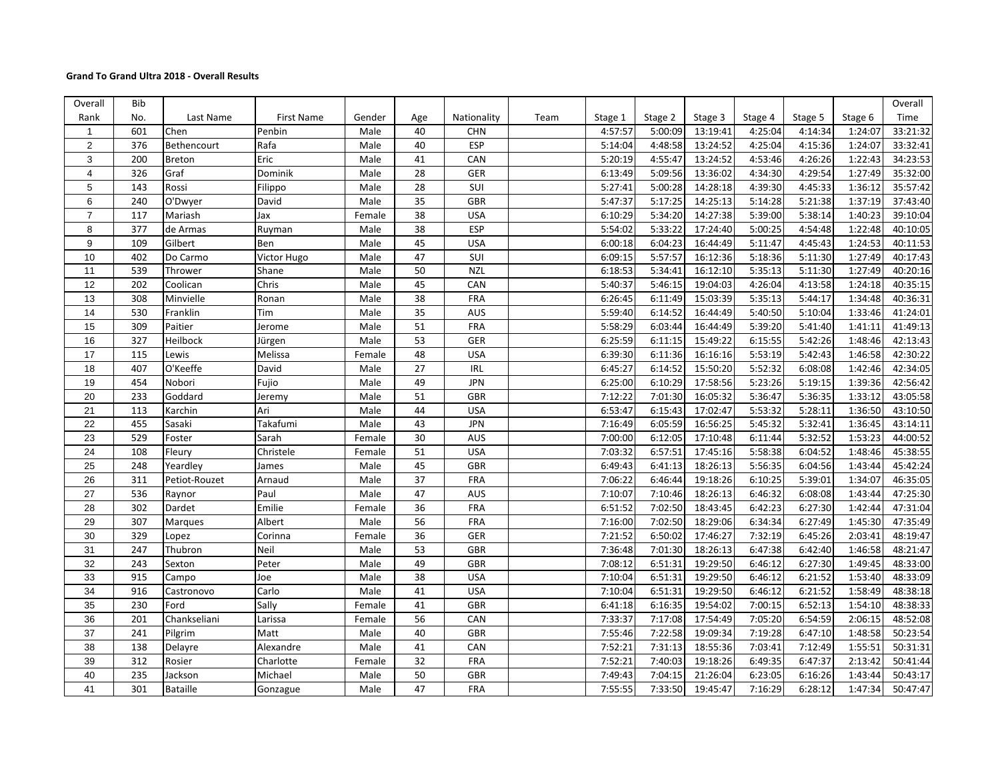## **Grand To Grand Ultra 2018 - Overall Results**

| Overall                 | Bib |                 |                   |        |                 |             |      |         |         |          |         |         |         | Overall  |
|-------------------------|-----|-----------------|-------------------|--------|-----------------|-------------|------|---------|---------|----------|---------|---------|---------|----------|
| Rank                    | No. | Last Name       | <b>First Name</b> | Gender | Age             | Nationality | Team | Stage 1 | Stage 2 | Stage 3  | Stage 4 | Stage 5 | Stage 6 | Time     |
| $\mathbf{1}$            | 601 | Chen            | Penbin            | Male   | 40              | <b>CHN</b>  |      | 4:57:57 | 5:00:09 | 13:19:41 | 4:25:04 | 4:14:34 | 1:24:07 | 33:21:32 |
| 2                       | 376 | Bethencourt     | Rafa              | Male   | 40              | ESP         |      | 5:14:04 | 4:48:58 | 13:24:52 | 4:25:04 | 4:15:36 | 1:24:07 | 33:32:41 |
| 3                       | 200 | <b>Breton</b>   | Eric              | Male   | 41              | CAN         |      | 5:20:19 | 4:55:47 | 13:24:52 | 4:53:46 | 4:26:26 | 1:22:43 | 34:23:53 |
| $\overline{\mathbf{4}}$ | 326 | Graf            | Dominik           | Male   | 28              | GER         |      | 6:13:49 | 5:09:56 | 13:36:02 | 4:34:30 | 4:29:54 | 1:27:49 | 35:32:00 |
| 5                       | 143 | Rossi           | Filippo           | Male   | 28              | SUI         |      | 5:27:41 | 5:00:28 | 14:28:18 | 4:39:30 | 4:45:33 | 1:36:12 | 35:57:42 |
| $\,6$                   | 240 | O'Dwyer         | David             | Male   | 35              | GBR         |      | 5:47:37 | 5:17:25 | 14:25:13 | 5:14:28 | 5:21:38 | 1:37:19 | 37:43:40 |
| $\overline{7}$          | 117 | Mariash         | Jax               | Female | 38              | <b>USA</b>  |      | 6:10:29 | 5:34:20 | 14:27:38 | 5:39:00 | 5:38:14 | 1:40:23 | 39:10:04 |
| 8                       | 377 | de Armas        | Ruyman            | Male   | 38              | ESP         |      | 5:54:02 | 5:33:22 | 17:24:40 | 5:00:25 | 4:54:48 | 1:22:48 | 40:10:05 |
| $\boldsymbol{9}$        | 109 | Gilbert         | Ben               | Male   | 45              | <b>USA</b>  |      | 6:00:18 | 6:04:23 | 16:44:49 | 5:11:47 | 4:45:43 | 1:24:53 | 40:11:53 |
| 10                      | 402 | Do Carmo        | Victor Hugo       | Male   | 47              | SUI         |      | 6:09:15 | 5:57:57 | 16:12:36 | 5:18:36 | 5:11:30 | 1:27:49 | 40:17:43 |
| 11                      | 539 | Thrower         | Shane             | Male   | 50              | <b>NZL</b>  |      | 6:18:53 | 5:34:41 | 16:12:10 | 5:35:13 | 5:11:30 | 1:27:49 | 40:20:16 |
| 12                      | 202 | Coolican        | Chris             | Male   | 45              | CAN         |      | 5:40:37 | 5:46:15 | 19:04:03 | 4:26:04 | 4:13:58 | 1:24:18 | 40:35:15 |
| 13                      | 308 | Minvielle       | Ronan             | Male   | 38              | FRA         |      | 6:26:45 | 6:11:49 | 15:03:39 | 5:35:13 | 5:44:17 | 1:34:48 | 40:36:31 |
| $\overline{14}$         | 530 | Franklin        | Tim               | Male   | 35              | <b>AUS</b>  |      | 5:59:40 | 6:14:52 | 16:44:49 | 5:40:50 | 5:10:04 | 1:33:46 | 41:24:01 |
| 15                      | 309 | Paitier         | Jerome            | Male   | 51              | FRA         |      | 5:58:29 | 6:03:44 | 16:44:49 | 5:39:20 | 5:41:40 | 1:41:11 | 41:49:13 |
| 16                      | 327 | Heilbock        | Jürgen            | Male   | 53              | GER         |      | 6:25:59 | 6:11:15 | 15:49:22 | 6:15:55 | 5:42:26 | 1:48:46 | 42:13:43 |
| 17                      | 115 | Lewis           | Melissa           | Female | 48              | <b>USA</b>  |      | 6:39:30 | 6:11:36 | 16:16:16 | 5:53:19 | 5:42:43 | 1:46:58 | 42:30:22 |
| 18                      | 407 | O'Keeffe        | David             | Male   | 27              | <b>IRL</b>  |      | 6:45:27 | 6:14:52 | 15:50:20 | 5:52:32 | 6:08:08 | 1:42:46 | 42:34:05 |
| 19                      | 454 | Nobori          | Fujio             | Male   | 49              | <b>JPN</b>  |      | 6:25:00 | 6:10:29 | 17:58:56 | 5:23:26 | 5:19:15 | 1:39:36 | 42:56:42 |
| 20                      | 233 | Goddard         | Jeremy            | Male   | $\overline{51}$ | <b>GBR</b>  |      | 7:12:22 | 7:01:30 | 16:05:32 | 5:36:47 | 5:36:35 | 1:33:12 | 43:05:58 |
| 21                      | 113 | Karchin         | Ari               | Male   | 44              | <b>USA</b>  |      | 6:53:47 | 6:15:43 | 17:02:47 | 5:53:32 | 5:28:11 | 1:36:50 | 43:10:50 |
| 22                      | 455 | Sasaki          | Takafumi          | Male   | 43              | <b>JPN</b>  |      | 7:16:49 | 6:05:59 | 16:56:25 | 5:45:32 | 5:32:41 | 1:36:45 | 43:14:11 |
| 23                      | 529 | Foster          | Sarah             | Female | 30              | AUS         |      | 7:00:00 | 6:12:05 | 17:10:48 | 6:11:44 | 5:32:52 | 1:53:23 | 44:00:52 |
| 24                      | 108 | Fleury          | Christele         | Female | 51              | <b>USA</b>  |      | 7:03:32 | 6:57:51 | 17:45:16 | 5:58:38 | 6:04:52 | 1:48:46 | 45:38:55 |
| 25                      | 248 | Yeardley        | James             | Male   | 45              | GBR         |      | 6:49:43 | 6:41:13 | 18:26:13 | 5:56:35 | 6:04:56 | 1:43:44 | 45:42:24 |
| 26                      | 311 | Petiot-Rouzet   | Arnaud            | Male   | $\overline{37}$ | FRA         |      | 7:06:22 | 6:46:44 | 19:18:26 | 6:10:25 | 5:39:01 | 1:34:07 | 46:35:05 |
| $\overline{27}$         | 536 | Raynor          | Paul              | Male   | 47              | AUS         |      | 7:10:07 | 7:10:46 | 18:26:13 | 6:46:32 | 6:08:08 | 1:43:44 | 47:25:30 |
| 28                      | 302 | Dardet          | Emilie            | Female | 36              | FRA         |      | 6:51:52 | 7:02:50 | 18:43:45 | 6:42:23 | 6:27:30 | 1:42:44 | 47:31:04 |
| 29                      | 307 | Marques         | Albert            | Male   | 56              | FRA         |      | 7:16:00 | 7:02:50 | 18:29:06 | 6:34:34 | 6:27:49 | 1:45:30 | 47:35:49 |
| 30                      | 329 | Lopez           | Corinna           | Female | 36              | <b>GER</b>  |      | 7:21:52 | 6:50:02 | 17:46:27 | 7:32:19 | 6:45:26 | 2:03:41 | 48:19:47 |
| 31                      | 247 | Thubron         | Neil              | Male   | 53              | GBR         |      | 7:36:48 | 7:01:30 | 18:26:13 | 6:47:38 | 6:42:40 | 1:46:58 | 48:21:47 |
| 32                      | 243 | Sexton          | Peter             | Male   | 49              | <b>GBR</b>  |      | 7:08:12 | 6:51:31 | 19:29:50 | 6:46:12 | 6:27:30 | 1:49:45 | 48:33:00 |
| 33                      | 915 | Campo           | Joe               | Male   | 38              | <b>USA</b>  |      | 7:10:04 | 6:51:31 | 19:29:50 | 6:46:12 | 6:21:52 | 1:53:40 | 48:33:09 |
| 34                      | 916 | Castronovo      | Carlo             | Male   | 41              | <b>USA</b>  |      | 7:10:04 | 6:51:31 | 19:29:50 | 6:46:12 | 6:21:52 | 1:58:49 | 48:38:18 |
| 35                      | 230 | Ford            | Sally             | Female | 41              | <b>GBR</b>  |      | 6:41:18 | 6:16:35 | 19:54:02 | 7:00:15 | 6:52:13 | 1:54:10 | 48:38:33 |
| 36                      | 201 | Chankseliani    | Larissa           | Female | 56              | CAN         |      | 7:33:37 | 7:17:08 | 17:54:49 | 7:05:20 | 6:54:59 | 2:06:15 | 48:52:08 |
| 37                      | 241 | Pilgrim         | Matt              | Male   | 40              | GBR         |      | 7:55:46 | 7:22:58 | 19:09:34 | 7:19:28 | 6:47:10 | 1:48:58 | 50:23:54 |
| 38                      | 138 | Delayre         | Alexandre         | Male   | 41              | CAN         |      | 7:52:21 | 7:31:13 | 18:55:36 | 7:03:41 | 7:12:49 | 1:55:51 | 50:31:31 |
| 39                      | 312 | Rosier          | Charlotte         | Female | $\overline{32}$ | FRA         |      | 7:52:21 | 7:40:03 | 19:18:26 | 6:49:35 | 6:47:37 | 2:13:42 | 50:41:44 |
| 40                      | 235 | Jackson         | Michael           | Male   | 50              | GBR         |      | 7:49:43 | 7:04:15 | 21:26:04 | 6:23:05 | 6:16:26 | 1:43:44 | 50:43:17 |
| 41                      | 301 | <b>Bataille</b> | Gonzague          | Male   | 47              | FRA         |      | 7:55:55 | 7:33:50 | 19:45:47 | 7:16:29 | 6:28:12 | 1:47:34 | 50:47:47 |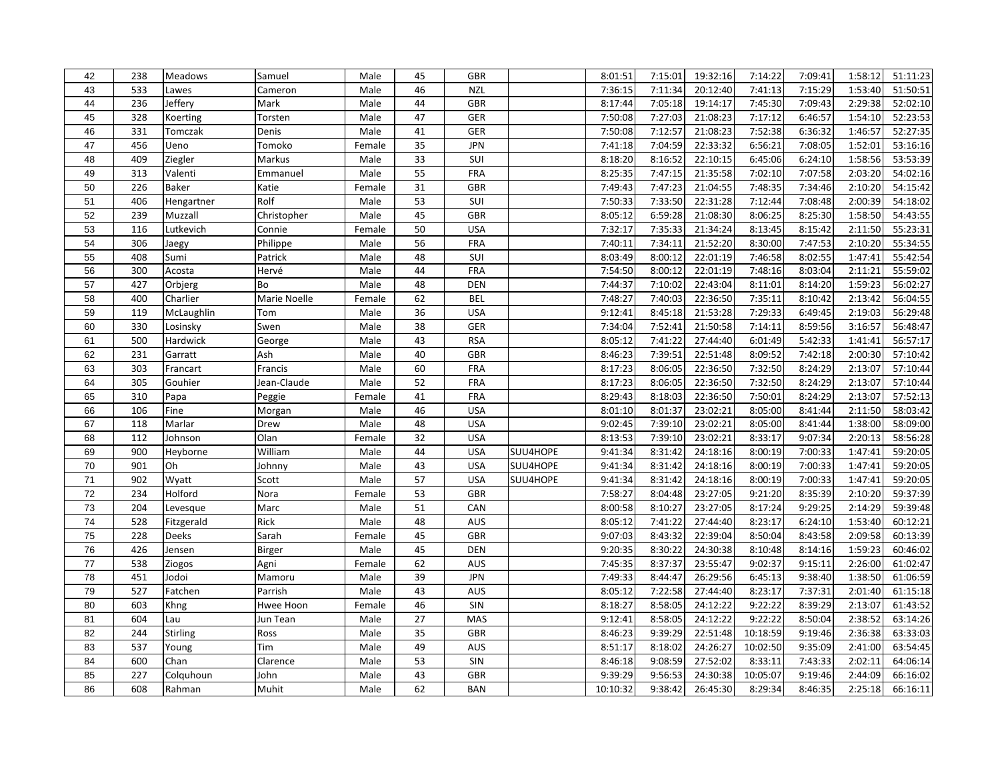| 42              | 238 | Meadows         | Samuel       | Male   | 45 | GBR            |          | 8:01:51  | 7:15:01 | 19:32:16              | 7:14:22  | 7:09:41 | 1:58:12 | 51:11:23 |
|-----------------|-----|-----------------|--------------|--------|----|----------------|----------|----------|---------|-----------------------|----------|---------|---------|----------|
| 43              | 533 | Lawes           | Cameron      | Male   | 46 | <b>NZL</b>     |          | 7:36:15  | 7:11:34 | 20:12:40              | 7:41:13  | 7:15:29 | 1:53:40 | 51:50:51 |
| 44              | 236 | Jeffery         | Mark         | Male   | 44 | <b>GBR</b>     |          | 8:17:44  | 7:05:18 | 19:14:17              | 7:45:30  | 7:09:43 | 2:29:38 | 52:02:10 |
| 45              | 328 | Koerting        | Torsten      | Male   | 47 | GER            |          | 7:50:08  | 7:27:03 | 21:08:23              | 7:17:12  | 6:46:57 | 1:54:10 | 52:23:53 |
| 46              | 331 | Tomczak         | Denis        | Male   | 41 | GER            |          | 7:50:08  | 7:12:57 | 21:08:23              | 7:52:38  | 6:36:32 | 1:46:57 | 52:27:35 |
| 47              | 456 | Ueno            | Tomoko       | Female | 35 | <b>JPN</b>     |          | 7:41:18  | 7:04:59 | 22:33:32              | 6:56:21  | 7:08:05 | 1:52:01 | 53:16:16 |
| 48              | 409 | Ziegler         | Markus       | Male   | 33 | SUI            |          | 8:18:20  | 8:16:52 | 22:10:15              | 6:45:06  | 6:24:10 | 1:58:56 | 53:53:39 |
| 49              | 313 | Valenti         | Emmanuel     | Male   | 55 | FRA            |          | 8:25:35  | 7:47:15 | 21:35:58              | 7:02:10  | 7:07:58 | 2:03:20 | 54:02:16 |
| 50              | 226 | <b>Baker</b>    | Katie        | Female | 31 | <b>GBR</b>     |          | 7:49:43  | 7:47:23 | 21:04:55              | 7:48:35  | 7:34:46 | 2:10:20 | 54:15:42 |
| 51              | 406 | Hengartner      | Rolf         | Male   | 53 | SUI            |          | 7:50:33  | 7:33:50 | 22:31:28              | 7:12:44  | 7:08:48 | 2:00:39 | 54:18:02 |
| 52              | 239 | Muzzall         | Christopher  | Male   | 45 | <b>GBR</b>     |          | 8:05:12  | 6:59:28 | $\overline{21:08:30}$ | 8:06:25  | 8:25:30 | 1:58:50 | 54:43:55 |
| 53              | 116 | Lutkevich       | Connie       | Female | 50 | <b>USA</b>     |          | 7:32:17  | 7:35:33 | 21:34:24              | 8:13:45  | 8:15:42 | 2:11:50 | 55:23:31 |
| 54              | 306 | Jaegy           | Philippe     | Male   | 56 | FRA            |          | 7:40:11  | 7:34:11 | 21:52:20              | 8:30:00  | 7:47:53 | 2:10:20 | 55:34:55 |
| 55              | 408 | Sumi            | Patrick      | Male   | 48 | SUI            |          | 8:03:49  | 8:00:12 | 22:01:19              | 7:46:58  | 8:02:55 | 1:47:41 | 55:42:54 |
| 56              | 300 | Acosta          | Hervé        | Male   | 44 | <b>FRA</b>     |          | 7:54:50  | 8:00:12 | 22:01:19              | 7:48:16  | 8:03:04 | 2:11:21 | 55:59:02 |
| 57              | 427 | Orbjerg         | Bo           | Male   | 48 | <b>DEN</b>     |          | 7:44:37  | 7:10:02 | 22:43:04              | 8:11:01  | 8:14:20 | 1:59:23 | 56:02:27 |
| 58              | 400 | Charlier        | Marie Noelle | Female | 62 | <b>BEL</b>     |          | 7:48:27  | 7:40:03 | 22:36:50              | 7:35:11  | 8:10:42 | 2:13:42 | 56:04:55 |
| 59              | 119 | McLaughlin      | Tom          | Male   | 36 | <b>USA</b>     |          | 9:12:41  | 8:45:18 | 21:53:28              | 7:29:33  | 6:49:45 | 2:19:03 | 56:29:48 |
| 60              | 330 | Losinsky        | Swen         | Male   | 38 | GER            |          | 7:34:04  | 7:52:41 | 21:50:58              | 7:14:11  | 8:59:56 | 3:16:57 | 56:48:47 |
| 61              | 500 | Hardwick        | George       | Male   | 43 | <b>RSA</b>     |          | 8:05:12  | 7:41:22 | 27:44:40              | 6:01:49  | 5:42:33 | 1:41:41 | 56:57:17 |
| 62              | 231 | Garratt         | Ash          | Male   | 40 | GBR            |          | 8:46:23  | 7:39:51 | 22:51:48              | 8:09:52  | 7:42:18 | 2:00:30 | 57:10:42 |
| 63              | 303 | Francart        | Francis      | Male   | 60 | <b>FRA</b>     |          | 8:17:23  | 8:06:05 | 22:36:50              | 7:32:50  | 8:24:29 | 2:13:07 | 57:10:44 |
| 64              | 305 | Gouhier         | Jean-Claude  | Male   | 52 | FRA            |          | 8:17:23  | 8:06:05 | 22:36:50              | 7:32:50  | 8:24:29 | 2:13:07 | 57:10:44 |
| 65              | 310 | Papa            | Peggie       | Female | 41 | FRA            |          | 8:29:43  | 8:18:03 | 22:36:50              | 7:50:01  | 8:24:29 | 2:13:07 | 57:52:13 |
| 66              | 106 | Fine            | Morgan       | Male   | 46 | <b>USA</b>     |          | 8:01:10  | 8:01:37 | 23:02:21              | 8:05:00  | 8:41:44 | 2:11:50 | 58:03:42 |
| 67              | 118 | Marlar          | Drew         | Male   | 48 | <b>USA</b>     |          | 9:02:45  | 7:39:10 | 23:02:21              | 8:05:00  | 8:41:44 | 1:38:00 | 58:09:00 |
| 68              | 112 | Johnson         | Olan         | Female | 32 | <b>USA</b>     |          | 8:13:53  | 7:39:10 | 23:02:21              | 8:33:17  | 9:07:34 | 2:20:13 | 58:56:28 |
| 69              | 900 | Heyborne        | William      | Male   | 44 | <b>USA</b>     | SUU4HOPE | 9:41:34  | 8:31:42 | 24:18:16              | 8:00:19  | 7:00:33 | 1:47:41 | 59:20:05 |
| 70              | 901 | Oh              | Johnny       | Male   | 43 | <b>USA</b>     | SUU4HOPE | 9:41:34  | 8:31:42 | 24:18:16              | 8:00:19  | 7:00:33 | 1:47:41 | 59:20:05 |
| $71$            | 902 | Wyatt           | Scott        | Male   | 57 | <b>USA</b>     | SUU4HOPE | 9:41:34  | 8:31:42 | 24:18:16              | 8:00:19  | 7:00:33 | 1:47:41 | 59:20:05 |
| $\overline{72}$ | 234 | Holford         | Nora         | Female | 53 | GBR            |          | 7:58:27  | 8:04:48 | 23:27:05              | 9:21:20  | 8:35:39 | 2:10:20 | 59:37:39 |
| 73              | 204 | Levesque        | Marc         | Male   | 51 | CAN            |          | 8:00:58  | 8:10:27 | 23:27:05              | 8:17:24  | 9:29:25 | 2:14:29 | 59:39:48 |
| 74              | 528 | Fitzgerald      | Rick         | Male   | 48 | AUS            |          | 8:05:12  | 7:41:22 | 27:44:40              | 8:23:17  | 6:24:10 | 1:53:40 | 60:12:21 |
| 75              | 228 | <b>Deeks</b>    | Sarah        | Female | 45 | GBR            |          | 9:07:03  | 8:43:32 | 22:39:04              | 8:50:04  | 8:43:58 | 2:09:58 | 60:13:39 |
| 76              | 426 | Jensen          | Birger       | Male   | 45 | <b>DEN</b>     |          | 9:20:35  | 8:30:22 | 24:30:38              | 8:10:48  | 8:14:16 | 1:59:23 | 60:46:02 |
| 77              | 538 | Ziogos          | Agni         | Female | 62 | <b>AUS</b>     |          | 7:45:35  | 8:37:37 | 23:55:47              | 9:02:37  | 9:15:11 | 2:26:00 | 61:02:47 |
| 78              | 451 | Jodoi           | Mamoru       | Male   | 39 | <b>JPN</b>     |          | 7:49:33  | 8:44:47 | 26:29:56              | 6:45:13  | 9:38:40 | 1:38:50 | 61:06:59 |
| 79              | 527 | Fatchen         | Parrish      | Male   | 43 | <b>AUS</b>     |          | 8:05:12  | 7:22:58 | 27:44:40              | 8:23:17  | 7:37:31 | 2:01:40 | 61:15:18 |
| 80              | 603 | Khng            | Hwee Hoon    | Female | 46 | SIN            |          | 8:18:27  | 8:58:05 | 24:12:22              | 9:22:22  | 8:39:29 | 2:13:07 | 61:43:52 |
| 81              | 604 | Lau             | Jun Tean     | Male   | 27 | MAS            |          | 9:12:41  | 8:58:05 | 24:12:22              | 9:22:22  | 8:50:04 | 2:38:52 | 63:14:26 |
| 82              | 244 | <b>Stirling</b> | Ross         | Male   | 35 | <b>GBR</b>     |          | 8:46:23  | 9:39:29 | 22:51:48              | 10:18:59 | 9:19:46 | 2:36:38 | 63:33:03 |
| 83              | 537 | Young           | Tim          | Male   | 49 | <b>AUS</b>     |          | 8:51:17  | 8:18:02 | 24:26:27              | 10:02:50 | 9:35:09 | 2:41:00 | 63:54:45 |
| 84              | 600 | Chan            | Clarence     | Male   | 53 | $\mathsf{SIN}$ |          | 8:46:18  | 9:08:59 | 27:52:02              | 8:33:11  | 7:43:33 | 2:02:11 | 64:06:14 |
| 85              | 227 | Colquhoun       | John         | Male   | 43 | <b>GBR</b>     |          | 9:39:29  | 9:56:53 | 24:30:38              | 10:05:07 | 9:19:46 | 2:44:09 | 66:16:02 |
| 86              | 608 | Rahman          | Muhit        | Male   | 62 | <b>BAN</b>     |          | 10:10:32 | 9:38:42 | 26:45:30              | 8:29:34  | 8:46:35 | 2:25:18 | 66:16:11 |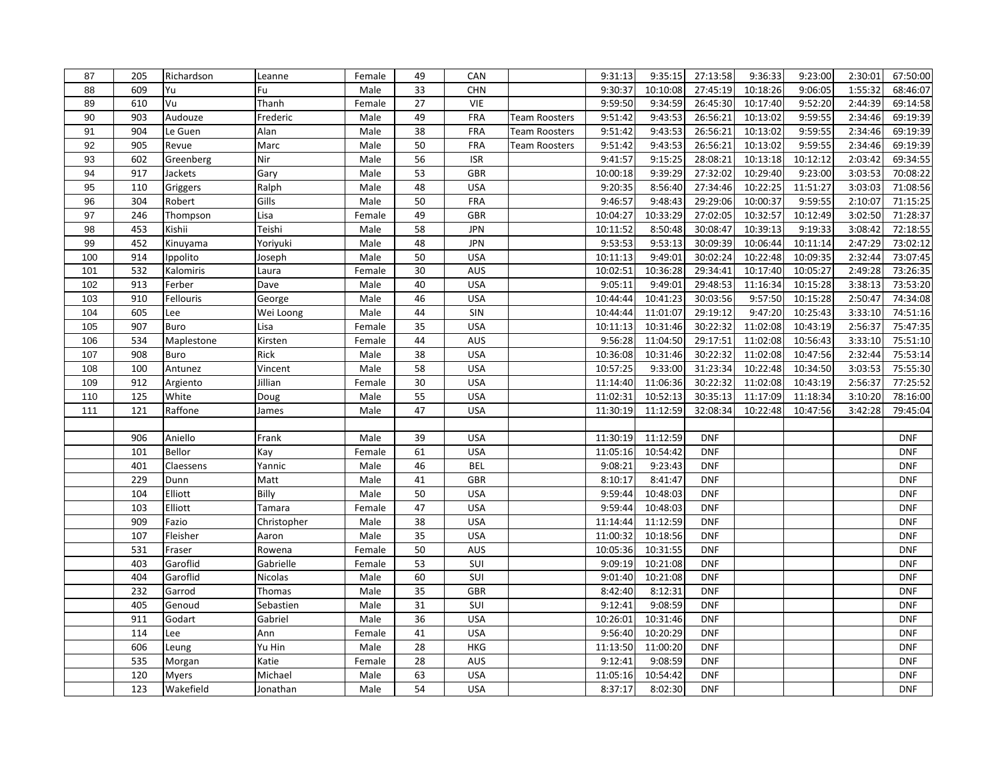| 87  | 205 | Richardson   | Leanne      | Female | 49 | <b>CAN</b> |                      | 9:31:13  | 9:35:15  | 27:13:58   | 9:36:33  | 9:23:00  | 2:30:01 | 67:50:00   |
|-----|-----|--------------|-------------|--------|----|------------|----------------------|----------|----------|------------|----------|----------|---------|------------|
| 88  | 609 | Yu           | Fu          | Male   | 33 | <b>CHN</b> |                      | 9:30:37  | 10:10:08 | 27:45:19   | 10:18:26 | 9:06:05  | 1:55:32 | 68:46:07   |
| 89  | 610 | Vu           | Thanh       | Female | 27 | <b>VIE</b> |                      | 9:59:50  | 9:34:59  | 26:45:30   | 10:17:40 | 9:52:20  | 2:44:39 | 69:14:58   |
| 90  | 903 | Audouze      | Frederic    | Male   | 49 | FRA        | Team Roosters        | 9:51:42  | 9:43:53  | 26:56:21   | 10:13:02 | 9:59:55  | 2:34:46 | 69:19:39   |
| 91  | 904 | Le Guen      | Alan        | Male   | 38 | FRA        | <b>Team Roosters</b> | 9:51:42  | 9:43:53  | 26:56:21   | 10:13:02 | 9:59:55  | 2:34:46 | 69:19:39   |
| 92  | 905 | Revue        | Marc        | Male   | 50 | FRA        | <b>Team Roosters</b> | 9:51:42  | 9:43:53  | 26:56:21   | 10:13:02 | 9:59:55  | 2:34:46 | 69:19:39   |
| 93  | 602 | Greenberg    | Nir         | Male   | 56 | <b>ISR</b> |                      | 9:41:57  | 9:15:25  | 28:08:21   | 10:13:18 | 10:12:12 | 2:03:42 | 69:34:55   |
| 94  | 917 | Jackets      | Gary        | Male   | 53 | <b>GBR</b> |                      | 10:00:18 | 9:39:29  | 27:32:02   | 10:29:40 | 9:23:00  | 3:03:53 | 70:08:22   |
| 95  | 110 | Griggers     | Ralph       | Male   | 48 | <b>USA</b> |                      | 9:20:35  | 8:56:40  | 27:34:46   | 10:22:25 | 11:51:27 | 3:03:03 | 71:08:56   |
| 96  | 304 | Robert       | Gills       | Male   | 50 | FRA        |                      | 9:46:57  | 9:48:43  | 29:29:06   | 10:00:37 | 9:59:55  | 2:10:07 | 71:15:25   |
| 97  | 246 | Thompson     | Lisa        | Female | 49 | GBR        |                      | 10:04:27 | 10:33:29 | 27:02:05   | 10:32:57 | 10:12:49 | 3:02:50 | 71:28:37   |
| 98  | 453 | Kishii       | Teishi      | Male   | 58 | <b>JPN</b> |                      | 10:11:52 | 8:50:48  | 30:08:47   | 10:39:13 | 9:19:33  | 3:08:42 | 72:18:55   |
| 99  | 452 | Kinuyama     | Yoriyuki    | Male   | 48 | <b>JPN</b> |                      | 9:53:53  | 9:53:13  | 30:09:39   | 10:06:44 | 10:11:14 | 2:47:29 | 73:02:12   |
| 100 | 914 | Ippolito     | Joseph      | Male   | 50 | <b>USA</b> |                      | 10:11:13 | 9:49:01  | 30:02:24   | 10:22:48 | 10:09:35 | 2:32:44 | 73:07:45   |
| 101 | 532 | Kalomiris    | Laura       | Female | 30 | <b>AUS</b> |                      | 10:02:51 | 10:36:28 | 29:34:41   | 10:17:40 | 10:05:27 | 2:49:28 | 73:26:35   |
| 102 | 913 | Ferber       | Dave        | Male   | 40 | <b>USA</b> |                      | 9:05:11  | 9:49:01  | 29:48:53   | 11:16:34 | 10:15:28 | 3:38:13 | 73:53:20   |
| 103 | 910 | Fellouris    | George      | Male   | 46 | <b>USA</b> |                      | 10:44:44 | 10:41:23 | 30:03:56   | 9:57:50  | 10:15:28 | 2:50:47 | 74:34:08   |
| 104 | 605 | Lee          | Wei Loong   | Male   | 44 | SIN        |                      | 10:44:44 | 11:01:07 | 29:19:12   | 9:47:20  | 10:25:43 | 3:33:10 | 74:51:16   |
| 105 | 907 | Buro         | Lisa        | Female | 35 | <b>USA</b> |                      | 10:11:13 | 10:31:46 | 30:22:32   | 11:02:08 | 10:43:19 | 2:56:37 | 75:47:35   |
| 106 | 534 | Maplestone   | Kirsten     | Female | 44 | AUS        |                      | 9:56:28  | 11:04:50 | 29:17:51   | 11:02:08 | 10:56:43 | 3:33:10 | 75:51:10   |
| 107 | 908 | Buro         | Rick        | Male   | 38 | <b>USA</b> |                      | 10:36:08 | 10:31:46 | 30:22:32   | 11:02:08 | 10:47:56 | 2:32:44 | 75:53:14   |
| 108 | 100 | Antunez      | Vincent     | Male   | 58 | <b>USA</b> |                      | 10:57:25 | 9:33:00  | 31:23:34   | 10:22:48 | 10:34:50 | 3:03:53 | 75:55:30   |
| 109 | 912 | Argiento     | Jillian     | Female | 30 | <b>USA</b> |                      | 11:14:40 | 11:06:36 | 30:22:32   | 11:02:08 | 10:43:19 | 2:56:37 | 77:25:52   |
| 110 | 125 | White        | Doug        | Male   | 55 | <b>USA</b> |                      | 11:02:31 | 10:52:13 | 30:35:13   | 11:17:09 | 11:18:34 | 3:10:20 | 78:16:00   |
| 111 | 121 | Raffone      | James       | Male   | 47 | <b>USA</b> |                      | 11:30:19 | 11:12:59 | 32:08:34   | 10:22:48 | 10:47:56 | 3:42:28 | 79:45:04   |
|     |     |              |             |        |    |            |                      |          |          |            |          |          |         |            |
|     | 906 | Aniello      | Frank       | Male   | 39 | <b>USA</b> |                      | 11:30:19 | 11:12:59 | <b>DNF</b> |          |          |         | <b>DNF</b> |
|     | 101 | Bellor       | Kay         | Female | 61 | <b>USA</b> |                      | 11:05:16 | 10:54:42 | <b>DNF</b> |          |          |         | <b>DNF</b> |
|     | 401 | Claessens    | Yannic      | Male   | 46 | <b>BEL</b> |                      | 9:08:21  | 9:23:43  | <b>DNF</b> |          |          |         | <b>DNF</b> |
|     | 229 | Dunn         | Matt        | Male   | 41 | GBR        |                      | 8:10:17  | 8:41:47  | <b>DNF</b> |          |          |         | <b>DNF</b> |
|     | 104 | Elliott      | Billy       | Male   | 50 | <b>USA</b> |                      | 9:59:44  | 10:48:03 | <b>DNF</b> |          |          |         | <b>DNF</b> |
|     | 103 | Elliott      | Tamara      | Female | 47 | <b>USA</b> |                      | 9:59:44  | 10:48:03 | <b>DNF</b> |          |          |         | <b>DNF</b> |
|     | 909 | Fazio        | Christopher | Male   | 38 | <b>USA</b> |                      | 11:14:44 | 11:12:59 | <b>DNF</b> |          |          |         | <b>DNF</b> |
|     | 107 | Fleisher     | Aaron       | Male   | 35 | <b>USA</b> |                      | 11:00:32 | 10:18:56 | <b>DNF</b> |          |          |         | <b>DNF</b> |
|     | 531 | Fraser       | Rowena      | Female | 50 | AUS        |                      | 10:05:36 | 10:31:55 | <b>DNF</b> |          |          |         | <b>DNF</b> |
|     | 403 | Garoflid     | Gabrielle   | Female | 53 | SUI        |                      | 9:09:19  | 10:21:08 | <b>DNF</b> |          |          |         | <b>DNF</b> |
|     | 404 | Garoflid     | Nicolas     | Male   | 60 | SUI        |                      | 9:01:40  | 10:21:08 | <b>DNF</b> |          |          |         | <b>DNF</b> |
|     | 232 | Garrod       | Thomas      | Male   | 35 | <b>GBR</b> |                      | 8:42:40  | 8:12:31  | <b>DNF</b> |          |          |         | <b>DNF</b> |
|     | 405 | Genoud       | Sebastien   | Male   | 31 | SUI        |                      | 9:12:41  | 9:08:59  | <b>DNF</b> |          |          |         | <b>DNF</b> |
|     | 911 | Godart       | Gabriel     | Male   | 36 | <b>USA</b> |                      | 10:26:01 | 10:31:46 | <b>DNF</b> |          |          |         | <b>DNF</b> |
|     | 114 | Lee          | Ann         | Female | 41 | <b>USA</b> |                      | 9:56:40  | 10:20:29 | <b>DNF</b> |          |          |         | <b>DNF</b> |
|     | 606 | Leung        | Yu Hin      | Male   | 28 | <b>HKG</b> |                      | 11:13:50 | 11:00:20 | <b>DNF</b> |          |          |         | <b>DNF</b> |
|     | 535 | Morgan       | Katie       | Female | 28 | AUS        |                      | 9:12:41  | 9:08:59  | <b>DNF</b> |          |          |         | <b>DNF</b> |
|     | 120 | <b>Myers</b> | Michael     | Male   | 63 | <b>USA</b> |                      | 11:05:16 | 10:54:42 | <b>DNF</b> |          |          |         | <b>DNF</b> |
|     | 123 | Wakefield    | Jonathan    | Male   | 54 | <b>USA</b> |                      | 8:37:17  | 8:02:30  | <b>DNF</b> |          |          |         | <b>DNF</b> |